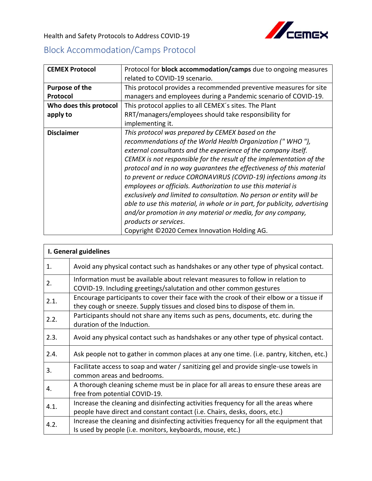

Health and Safety Protocols to Address COVID-19

## Block Accommodation/Camps Protocol

| <b>CEMEX Protocol</b>  | Protocol for <b>block accommodation/camps</b> due to ongoing measures      |
|------------------------|----------------------------------------------------------------------------|
|                        | related to COVID-19 scenario.                                              |
| Purpose of the         | This protocol provides a recommended preventive measures for site          |
| Protocol               | managers and employees during a Pandemic scenario of COVID-19.             |
| Who does this protocol | This protocol applies to all CEMEX's sites. The Plant                      |
| apply to               | RRT/managers/employees should take responsibility for                      |
|                        | implementing it.                                                           |
| <b>Disclaimer</b>      | This protocol was prepared by CEMEX based on the                           |
|                        | recommendations of the World Health Organization ("WHO"),                  |
|                        | external consultants and the experience of the company itself.             |
|                        | CEMEX is not responsible for the result of the implementation of the       |
|                        | protocol and in no way quarantees the effectiveness of this material       |
|                        | to prevent or reduce CORONAVIRUS (COVID-19) infections among its           |
|                        | employees or officials. Authorization to use this material is              |
|                        | exclusively and limited to consultation. No person or entity will be       |
|                        | able to use this material, in whole or in part, for publicity, advertising |
|                        | and/or promotion in any material or media, for any company,                |
|                        | products or services.                                                      |
|                        | Copyright ©2020 Cemex Innovation Holding AG.                               |

| I. General guidelines |                                                                                                                                                                        |  |
|-----------------------|------------------------------------------------------------------------------------------------------------------------------------------------------------------------|--|
| 1.                    | Avoid any physical contact such as handshakes or any other type of physical contact.                                                                                   |  |
| 2.                    | Information must be available about relevant measures to follow in relation to<br>COVID-19. Including greetings/salutation and other common gestures                   |  |
| 2.1.                  | Encourage participants to cover their face with the crook of their elbow or a tissue if<br>they cough or sneeze. Supply tissues and closed bins to dispose of them in. |  |
| 2.2.                  | Participants should not share any items such as pens, documents, etc. during the<br>duration of the Induction.                                                         |  |
| 2.3.                  | Avoid any physical contact such as handshakes or any other type of physical contact.                                                                                   |  |
| 2.4.                  | Ask people not to gather in common places at any one time. (i.e. pantry, kitchen, etc.)                                                                                |  |
| 3.                    | Facilitate access to soap and water / sanitizing gel and provide single-use towels in<br>common areas and bedrooms.                                                    |  |
| 4.                    | A thorough cleaning scheme must be in place for all areas to ensure these areas are<br>free from potential COVID-19.                                                   |  |
| 4.1.                  | Increase the cleaning and disinfecting activities frequency for all the areas where<br>people have direct and constant contact (i.e. Chairs, desks, doors, etc.)       |  |
| 4.2.                  | Increase the cleaning and disinfecting activities frequency for all the equipment that<br>Is used by people (i.e. monitors, keyboards, mouse, etc.)                    |  |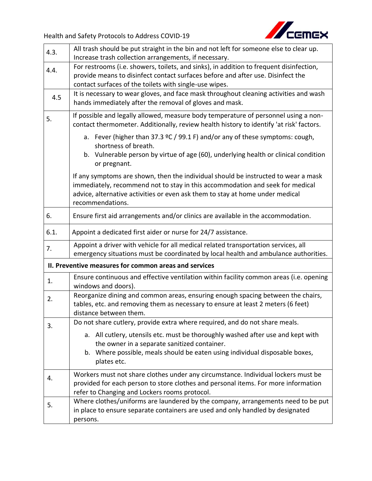

| 4.3.                                                  | All trash should be put straight in the bin and not left for someone else to clear up.<br>Increase trash collection arrangements, if necessary.                                                                                                                          |  |
|-------------------------------------------------------|--------------------------------------------------------------------------------------------------------------------------------------------------------------------------------------------------------------------------------------------------------------------------|--|
| 4.4.                                                  | For restrooms (i.e. showers, toilets, and sinks), in addition to frequent disinfection,<br>provide means to disinfect contact surfaces before and after use. Disinfect the<br>contact surfaces of the toilets with single-use wipes.                                     |  |
| 4.5                                                   | It is necessary to wear gloves, and face mask throughout cleaning activities and wash<br>hands immediately after the removal of gloves and mask.                                                                                                                         |  |
| 5.                                                    | If possible and legally allowed, measure body temperature of personnel using a non-<br>contact thermometer. Additionally, review health history to identify 'at risk' factors.                                                                                           |  |
|                                                       | a. Fever (higher than 37.3 $°C$ / 99.1 F) and/or any of these symptoms: cough,<br>shortness of breath.<br>b. Vulnerable person by virtue of age (60), underlying health or clinical condition<br>or pregnant.                                                            |  |
|                                                       | If any symptoms are shown, then the individual should be instructed to wear a mask<br>immediately, recommend not to stay in this accommodation and seek for medical<br>advice, alternative activities or even ask them to stay at home under medical<br>recommendations. |  |
| 6.                                                    | Ensure first aid arrangements and/or clinics are available in the accommodation.                                                                                                                                                                                         |  |
| 6.1.                                                  | Appoint a dedicated first aider or nurse for 24/7 assistance.                                                                                                                                                                                                            |  |
| 7.                                                    | Appoint a driver with vehicle for all medical related transportation services, all<br>emergency situations must be coordinated by local health and ambulance authorities.                                                                                                |  |
| II. Preventive measures for common areas and services |                                                                                                                                                                                                                                                                          |  |
| 1.                                                    | Ensure continuous and effective ventilation within facility common areas (i.e. opening<br>windows and doors).                                                                                                                                                            |  |
| 2.                                                    | Reorganize dining and common areas, ensuring enough spacing between the chairs,<br>tables, etc. and removing them as necessary to ensure at least 2 meters (6 feet)<br>distance between them.                                                                            |  |
| 3.                                                    | Do not share cutlery, provide extra where required, and do not share meals.                                                                                                                                                                                              |  |
|                                                       | a. All cutlery, utensils etc. must be thoroughly washed after use and kept with<br>the owner in a separate sanitized container.<br>b. Where possible, meals should be eaten using individual disposable boxes,<br>plates etc.                                            |  |
| 4.                                                    | Workers must not share clothes under any circumstance. Individual lockers must be<br>provided for each person to store clothes and personal items. For more information<br>refer to Changing and Lockers rooms protocol.                                                 |  |
| 5.                                                    | Where clothes/uniforms are laundered by the company, arrangements need to be put<br>in place to ensure separate containers are used and only handled by designated<br>persons.                                                                                           |  |